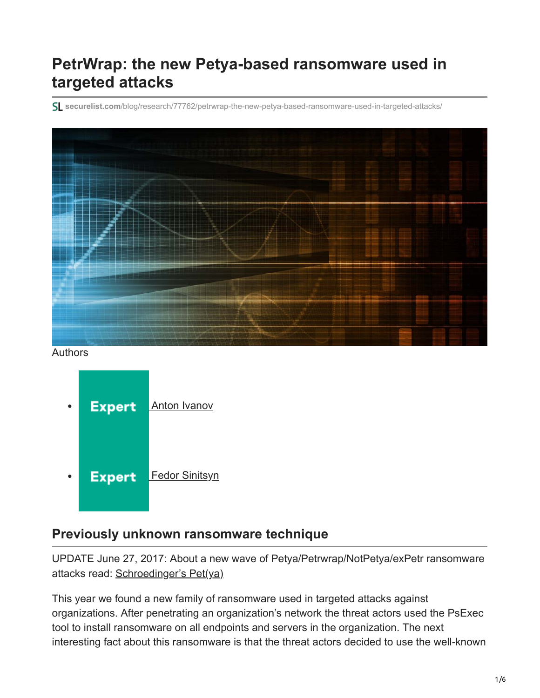# **PetrWrap: the new Petya-based ransomware used in targeted attacks**

**securelist.com**[/blog/research/77762/petrwrap-the-new-petya-based-ransomware-used-in-targeted-attacks/](https://securelist.com/blog/research/77762/petrwrap-the-new-petya-based-ransomware-used-in-targeted-attacks/)



Authors



### **Previously unknown ransomware technique**

UPDATE June 27, 2017: About a new wave of Petya/Petrwrap/NotPetya/exPetr ransomware attacks read: [Schroedinger's Pet\(ya\)](https://securelist.com/schroedingers-petya/78870/)

This year we found a new family of ransomware used in targeted attacks against organizations. After penetrating an organization's network the threat actors used the PsExec tool to install ransomware on all endpoints and servers in the organization. The next interesting fact about this ransomware is that the threat actors decided to use the well-known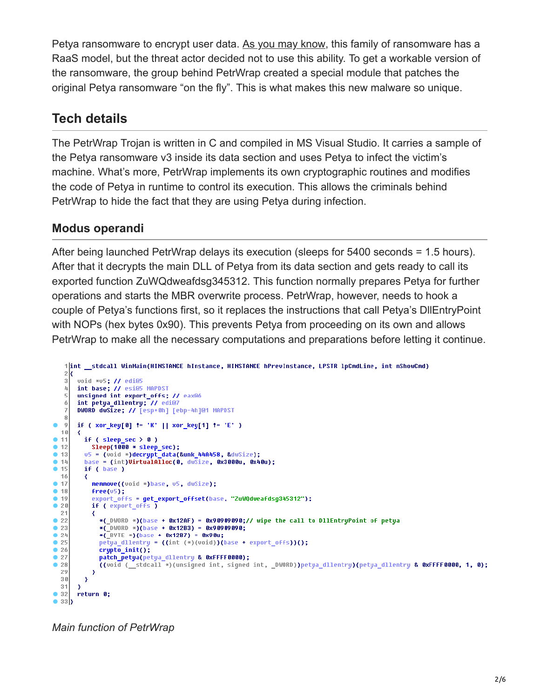Petya ransomware to encrypt user data. [As you may know](https://www.bleepingcomputer.com/news/security/the-petya-and-mischa-ransomwares-part-of-a-new-affiliate-service/), this family of ransomware has a RaaS model, but the threat actor decided not to use this ability. To get a workable version of the ransomware, the group behind PetrWrap created a special module that patches the original Petya ransomware "on the fly". This is what makes this new malware so unique.

### **Tech details**

The PetrWrap Trojan is written in C and compiled in MS Visual Studio. It carries a sample of the Petya ransomware v3 inside its data section and uses Petya to infect the victim's machine. What's more, PetrWrap implements its own cryptographic routines and modifies the code of Petya in runtime to control its execution. This allows the criminals behind PetrWrap to hide the fact that they are using Petya during infection.

#### **Modus operandi**

After being launched PetrWrap delays its execution (sleeps for 5400 seconds = 1.5 hours). After that it decrypts the main DLL of Petya from its data section and gets ready to call its exported function ZuWQdweafdsg345312. This function normally prepares Petya for further operations and starts the MBR overwrite process. PetrWrap, however, needs to hook a couple of Petya's functions first, so it replaces the instructions that call Petya's DllEntryPoint with NOPs (hex bytes 0x90). This prevents Petya from proceeding on its own and allows PetrWrap to make all the necessary computations and preparations before letting it continue.

```
1|int __stdcall WinMain(HINSTANCE hInstance, HINSTANCE hPrevInstance, LPSTR lpCmdLine, int nShowCmd)
   2k\overline{3}void *v5; // edi@5
       int base; // esi@5 MAPDST
   4
   5
       unsigned int export offs; // eax@6
       int petya_dllentry; // edi@7
   6
   7
       DWORD dwSize; // [esp+0h] [ebp-4h]@1 MAPDST
   8
       if ( xor_key[0] != 'K' || xor_key[1] != 'E' )
\bullet\overline{0}10₹
• 11if (sleep\_sec > 0)
           Sleep(1000 * sleep_sec);
\bullet 12
         u5 = (void *)decrypt_data(&unk_44A458, &dwSize);
• 13base = (int)UirtualAlloc(0, dwSize, 0x3000u, 0x40u);
-14• 15if ( base )
  16• 17memmove((void *)base, v5, dwSize);
• 18free(05);• 19export_offs = get_export_offset(base, "ZuWQdweafdsg345312");
\bullet 20
           if ( export_offs )
 21∢
^{\circ} 22
             *(_DWORD *)(base + 0x12AF) = 0x90909090;// wipe the call to DllEntryPoint of petya
\bullet 23
             *(\overline{U}DWORD *)(base + 0x12B3) = 0x90909090;
• 24*(\overline{B}VTE *)(base + 0x12B7) = 0x90u;
•25petya_dllentry = ((int (*)(void))(base + export_offs))();
^{\circ} 26
             crypto\ init();
             patch_petya(petya_dllentry & 0xFFFF0000);
•27^{\circ} 28
             ((void ( stdcall *)(unsigned int, signed int, _DWORD))petya_dllentry)(petya_dllentry & 0xFFFF0000, 1, 0);
 29
           \rightarrow30\rightarrow31•32return 0;
o aab
```
*Main function of PetrWrap*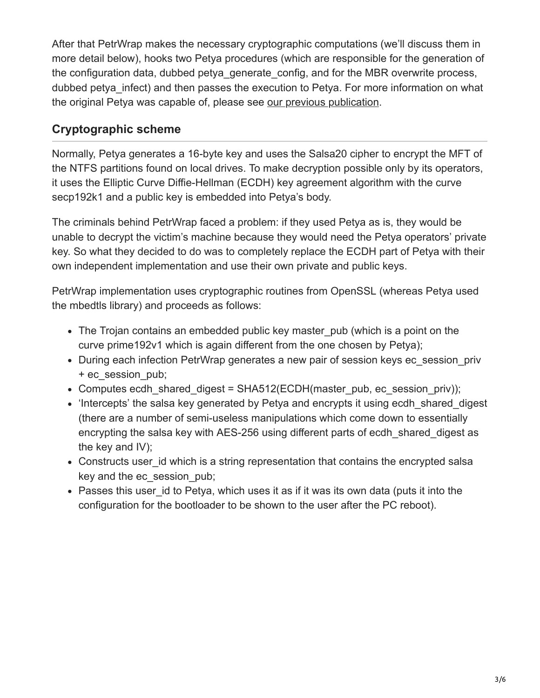After that PetrWrap makes the necessary cryptographic computations (we'll discuss them in more detail below), hooks two Petya procedures (which are responsible for the generation of the configuration data, dubbed petya\_generate\_config, and for the MBR overwrite process, dubbed petya infect) and then passes the execution to Petya. For more information on what the original Petya was capable of, please see [our previous publication.](https://securelist.com/blog/research/74609/petya-the-two-in-one-trojan/)

### **Cryptographic scheme**

Normally, Petya generates a 16-byte key and uses the Salsa20 cipher to encrypt the MFT of the NTFS partitions found on local drives. To make decryption possible only by its operators, it uses the Elliptic Curve Diffie-Hellman (ECDH) key agreement algorithm with the curve secp192k1 and a public key is embedded into Petya's body.

The criminals behind PetrWrap faced a problem: if they used Petya as is, they would be unable to decrypt the victim's machine because they would need the Petya operators' private key. So what they decided to do was to completely replace the ECDH part of Petya with their own independent implementation and use their own private and public keys.

PetrWrap implementation uses cryptographic routines from OpenSSL (whereas Petya used the mbedtls library) and proceeds as follows:

- The Trojan contains an embedded public key master pub (which is a point on the curve prime192v1 which is again different from the one chosen by Petya);
- During each infection PetrWrap generates a new pair of session keys ec\_session\_priv + ec\_session\_pub;
- Computes ecdh\_shared\_digest = SHA512(ECDH(master\_pub, ec\_session\_priv));
- 'Intercepts' the salsa key generated by Petya and encrypts it using ecdh shared digest (there are a number of semi-useless manipulations which come down to essentially encrypting the salsa key with AES-256 using different parts of ecdh\_shared\_digest as the key and IV);
- Constructs user id which is a string representation that contains the encrypted salsa key and the ec\_session\_pub;
- Passes this user id to Petya, which uses it as if it was its own data (puts it into the configuration for the bootloader to be shown to the user after the PC reboot).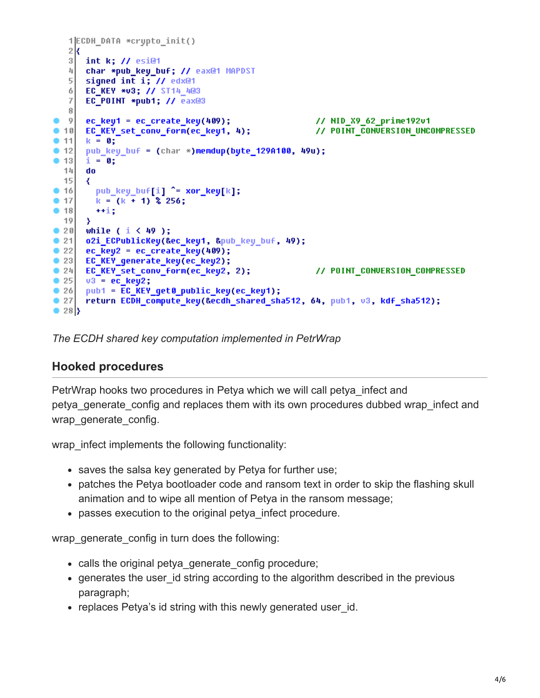```
1|ECDH DATA *crypto init()
   2k\overline{3}int k; // esi@1
   피
        char *pub_key_buf; // eax@1 MAPDST
   \overline{5}signed int i; // edx@1
   6
        EC_KEY *03; // ST14_4@3
   \overline{7}EC_POINT *pub1; // eax@3
   8<sup>1</sup>// NID X9 62 prime192v1
   |9|ec key1 = ec create key(409);
       ec_key1 = ec_create_key(409);<br>EC_KEY_set_conv_form(ec_key1, 4);<br>| = 0;
                                                                 // POINT CONVERSION UNCOMPRESSED
\bullet 10
       k = 0;● 11|
        pub key buf = (char *)memdup(byte 129A100, 49u);
\bullet 12
\bullet 13
       i = 0;do
  1415€
          pub\_key\_buf[i] \hat{=} xor\_key[k];\bullet 16
          k = (k + 1) 256;
\blacksquare 17
\bullet 18
          +1:19Y
\bullet 20 \vdashwhile ( i < 49 );
\bullet 21
       o2i_ECPublicKey(&ec_key1, &pub_key_buf, 49);
        ec\_key2 = ec\_create\_key(409);\bullet 22
\bullet 23
       EC_KEY_generate_key(ec_key2);
\bullet 24
       EC_KEY_set_conv_form(ec_key2, 2);
                                                                 // POINT_CONVERSION_COMPRESSED
\bullet 25
       v3 = ec key2;
\bullet 26
       pub1 = EC KEY get0 public key(ec key1);
\bullet 27
        return ECDH_compute_key(&ecdh_shared_sha512, 64, pub1, v3, kdf_sha512);
\bullet 28 }
```
*The ECDH shared key computation implemented in PetrWrap*

#### **Hooked procedures**

PetrWrap hooks two procedures in Petya which we will call petya infect and petya\_generate\_config and replaces them with its own procedures dubbed wrap\_infect and wrap generate config.

wrap infect implements the following functionality:

- saves the salsa key generated by Petya for further use;
- patches the Petya bootloader code and ransom text in order to skip the flashing skull animation and to wipe all mention of Petya in the ransom message;
- passes execution to the original petya\_infect procedure.

wrap generate config in turn does the following:

- calls the original petya generate config procedure;
- generates the user id string according to the algorithm described in the previous paragraph;
- replaces Petya's id string with this newly generated user id.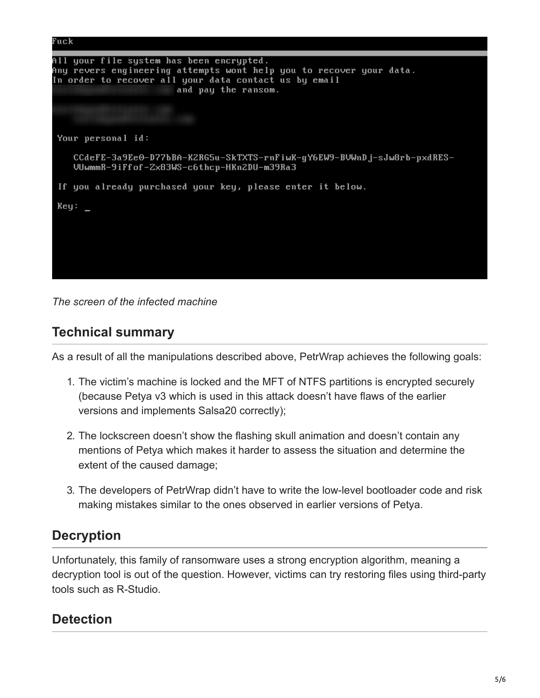

*The screen of the infected machine*

### **Technical summary**

As a result of all the manipulations described above, PetrWrap achieves the following goals:

- 1. The victim's machine is locked and the MFT of NTFS partitions is encrypted securely (because Petya v3 which is used in this attack doesn't have flaws of the earlier versions and implements Salsa20 correctly);
- 2. The lockscreen doesn't show the flashing skull animation and doesn't contain any mentions of Petya which makes it harder to assess the situation and determine the extent of the caused damage;
- 3. The developers of PetrWrap didn't have to write the low-level bootloader code and risk making mistakes similar to the ones observed in earlier versions of Petya.

### **Decryption**

Unfortunately, this family of ransomware uses a strong encryption algorithm, meaning a decryption tool is out of the question. However, victims can try restoring files using third-party tools such as R-Studio.

### **Detection**